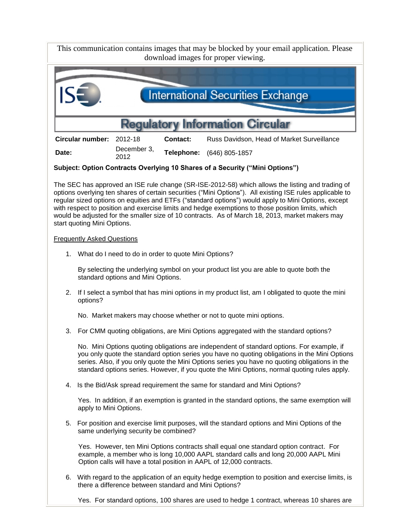This communication contains images that may be blocked by your email application. Please download images for proper viewing.



**Circular number:** 2012-18 **Contact:** Russ Davidson, Head of Market Surveillance **Date:** December 3,<br>2012 <sup>2012</sup> **Telephone:** (646) 805-1857

**Subject: Option Contracts Overlying 10 Shares of a Security ("Mini Options")**

The SEC has approved an ISE rule change (SR-ISE-2012-58) which allows the listing and trading of options overlying ten shares of certain securities ("Mini Options"). All existing ISE rules applicable to regular sized options on equities and ETFs ("standard options") would apply to Mini Options, except with respect to position and exercise limits and hedge exemptions to those position limits, which would be adjusted for the smaller size of 10 contracts. As of March 18, 2013, market makers may start quoting Mini Options.

## Frequently Asked Questions

1. What do I need to do in order to quote Mini Options?

By selecting the underlying symbol on your product list you are able to quote both the standard options and Mini Options.

2. If I select a symbol that has mini options in my product list, am I obligated to quote the mini options?

No. Market makers may choose whether or not to quote mini options.

3. For CMM quoting obligations, are Mini Options aggregated with the standard options?

No. Mini Options quoting obligations are independent of standard options. For example, if you only quote the standard option series you have no quoting obligations in the Mini Options series. Also, if you only quote the Mini Options series you have no quoting obligations in the standard options series. However, if you quote the Mini Options, normal quoting rules apply.

4. Is the Bid/Ask spread requirement the same for standard and Mini Options?

Yes. In addition, if an exemption is granted in the standard options, the same exemption will apply to Mini Options.

5. For position and exercise limit purposes, will the standard options and Mini Options of the same underlying security be combined?

Yes. However, ten Mini Options contracts shall equal one standard option contract. For example, a member who is long 10,000 AAPL standard calls and long 20,000 AAPL Mini Option calls will have a total position in AAPL of 12,000 contracts.

6. With regard to the application of an equity hedge exemption to position and exercise limits, is there a difference between standard and Mini Options?

Yes. For standard options, 100 shares are used to hedge 1 contract, whereas 10 shares are